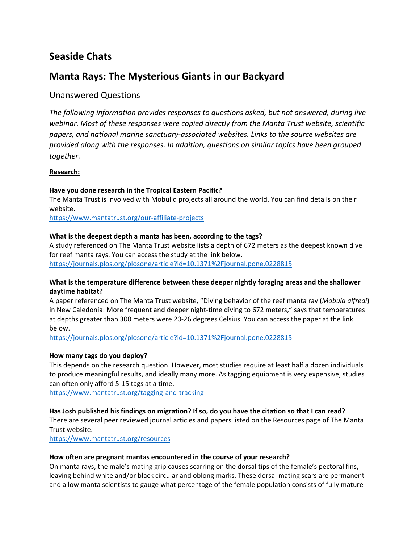# **Seaside Chats**

# **Manta Rays: The Mysterious Giants in our Backyard**

# Unanswered Questions

*The following information provides responses to questions asked, but not answered, during live webinar. Most of these responses were copied directly from the Manta Trust website, scientific papers, and national marine sanctuary-associated websites. Links to the source websites are provided along with the responses. In addition, questions on similar topics have been grouped together.* 

# **Research:**

# **Have you done research in the Tropical Eastern Pacific?**

The Manta Trust is involved with Mobulid projects all around the world. You can find details on their website.

<https://www.mantatrust.org/our-affiliate-projects>

# **What is the deepest depth a manta has been, according to the tags?**

A study referenced on The Manta Trust website lists a depth of 672 meters as the deepest known dive for reef manta rays. You can access the study at the link below. <https://journals.plos.org/plosone/article?id=10.1371%2Fjournal.pone.0228815>

# **What is the temperature difference between these deeper nightly foraging areas and the shallower daytime habitat?**

A paper referenced on The Manta Trust website, "Diving behavior of the reef manta ray (*Mobula alfredi*) in New Caledonia: More frequent and deeper night-time diving to 672 meters," says that temperatures at depths greater than 300 meters were 20-26 degrees Celsius. You can access the paper at the link below.

<https://journals.plos.org/plosone/article?id=10.1371%2Fjournal.pone.0228815>

# **How many tags do you deploy?**

This depends on the research question. However, most studies require at least half a dozen individuals to produce meaningful results, and ideally many more. As tagging equipment is very expensive, studies can often only afford 5-15 tags at a time.

<https://www.mantatrust.org/tagging-and-tracking>

# **Has Josh published his findings on migration? If so, do you have the citation so that I can read?**

There are several peer reviewed journal articles and papers listed on the Resources page of The Manta Trust website.

<https://www.mantatrust.org/resources>

# **How often are pregnant mantas encountered in the course of your research?**

On manta rays, the male's mating grip causes scarring on the dorsal tips of the female's pectoral fins, leaving behind white and/or black circular and oblong marks. These dorsal mating scars are permanent and allow manta scientists to gauge what percentage of the female population consists of fully mature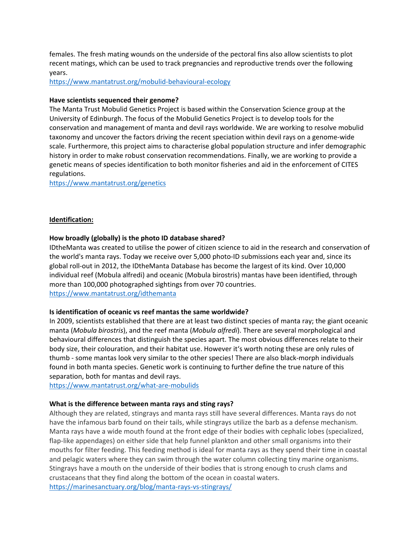females. The fresh mating wounds on the underside of the pectoral fins also allow scientists to plot recent matings, which can be used to track pregnancies and reproductive trends over the following years.

<https://www.mantatrust.org/mobulid-behavioural-ecology>

#### **Have scientists sequenced their genome?**

The Manta Trust Mobulid Genetics Project is based within th[e Conservation Science](https://www.ed.ac.uk/vet/conservation-science) group at the [University of Edinburgh.](https://www.ed.ac.uk/) The focus of the Mobulid Genetics Project is to develop tools for the conservation and management of manta and devil rays worldwide. We are working to resolve mobulid taxonomy and uncover the factors driving the recent speciation within devil rays on a genome-wide scale. Furthermore, this project aims to characterise global population structure and infer demographic history in order to make robust conservation recommendations. Finally, we are working to provide a genetic means of species identification to both monitor fisheries and aid in the enforcement of CITES regulations.

<https://www.mantatrust.org/genetics>

#### **Identification:**

#### **How broadly (globally) is the photo ID database shared?**

IDtheManta was created to utilise the power of citizen science to aid in the research and conservation of the world's [manta rays.](https://www.mantatrust.org/what-are-mobulids/#what-are-mobulid-rays-mantas) Today we receive over 5,000 photo-ID submissions each year and, since its global roll-out in 2012, the IDtheManta Database has become the largest of its kind. Over 10,000 individual reef [\(Mobula alfredi\)](https://www.mantatrust.org/mobula-alfredi) and oceanic [\(Mobula birostris\)](https://www.mantatrust.org/mobula-birostris) mantas have been identified, through more than 100,000 photographed sightings from over 70 countries. <https://www.mantatrust.org/idthemanta>

#### **Is identification of oceanic vs reef mantas the same worldwide?**

In 2009, scientists established that there are at least two distinct species of manta ray; the giant oceanic manta (*Mobula birostris*), and the reef manta (*Mobula alfredi*). There are several morphological and behavioural differences that distinguish the species apart. The most obvious differences relate to their body size, their colouration, and their habitat use. However it's worth noting these are only rules of thumb - some mantas look very similar to the other species! There are also black-morph individuals found in both manta species. [Genetic](https://www.mantatrust.org/genetics) work is continuing to further define the true nature of this separation, both for mantas and devil rays.

<https://www.mantatrust.org/what-are-mobulids>

#### **What is the difference between manta rays and sting rays?**

Although they are related, stingrays and manta rays still have several differences. Manta rays do not have the infamous barb found on their tails, while stingrays utilize the barb as a defense mechanism. Manta rays have a wide mouth found at the front edge of their bodies with cephalic lobes (specialized, flap-like appendages) on either side that help funnel plankton and other small organisms into their mouths for filter feeding. This feeding method is ideal for manta rays as they spend their time in coastal and pelagic waters where they can swim through the water column collecting tiny marine organisms. Stingrays have a mouth on the underside of their bodies that is strong enough to crush clams and crustaceans that they find along the bottom of the ocean in coastal waters. <https://marinesanctuary.org/blog/manta-rays-vs-stingrays/>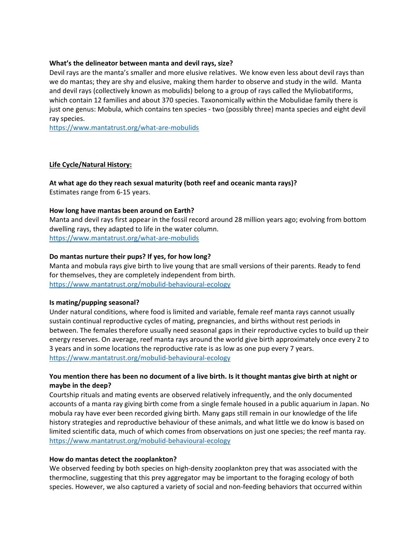#### **What's the delineator between manta and devil rays, size?**

Devil rays are the manta's smaller and more elusive relatives. We know even less about devil rays than we do mantas; they are shy and elusive, making them harder to observe and study in the wild. Manta and devil rays (collectively known as mobulids) belong to a group of rays called the Myliobatiforms, which contain 12 families and about 370 species. Taxonomically within the Mobulidae family there is just one genus: Mobula, which contains ten species - two (possibly three) manta species and eight devil ray species.

<https://www.mantatrust.org/what-are-mobulids>

# **Life Cycle/Natural History:**

**At what age do they reach sexual maturity (both reef and oceanic manta rays)?**  Estimates range from 6-15 years.

#### **How long have mantas been around on Earth?**

Manta and devil rays first appear in the fossil record around 28 million years ago; evolving from bottom dwelling rays, they adapted to life in the water column. <https://www.mantatrust.org/what-are-mobulids>

#### **Do mantas nurture their pups? If yes, for how long?**

Manta and mobula rays give birth to live young that are small versions of their parents. Ready to fend for themselves, they are completely independent from birth. <https://www.mantatrust.org/mobulid-behavioural-ecology>

#### **Is mating/pupping seasonal?**

Under natural conditions, where food is limited and variable, female reef manta rays cannot usually sustain continual reproductive cycles of mating, pregnancies, and births without rest periods in between. The females therefore usually need seasonal gaps in their reproductive cycles to build up their energy reserves. On average, reef manta rays around the world give birth approximately once every 2 to 3 years and in some locations the reproductive rate is as low as one pup every 7 years. <https://www.mantatrust.org/mobulid-behavioural-ecology>

# **You mention there has been no document of a live birth. Is it thought mantas give birth at night or maybe in the deep?**

Courtship rituals and mating events are observed relatively infrequently, and the only documented accounts of a manta ray giving birth come from a single female housed in a public aquarium in Japan. No mobula ray have ever been recorded giving birth. Many gaps still remain in our knowledge of the life history strategies and reproductive behaviour of these animals, and what little we do know is based on limited scientific data, much of which comes from observations on just one species; the reef manta ray. <https://www.mantatrust.org/mobulid-behavioural-ecology>

#### **How do mantas detect the zooplankton?**

We observed feeding by both species on high-density zooplankton prey that was associated with the thermocline, suggesting that this prey aggregator may be important to the foraging ecology of both species. However, we also captured a variety of social and non-feeding behaviors that occurred within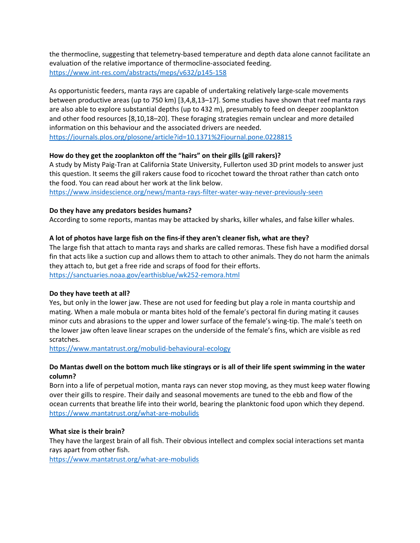the thermocline, suggesting that telemetry-based temperature and depth data alone cannot facilitate an evaluation of the relative importance of thermocline-associated feeding. <https://www.int-res.com/abstracts/meps/v632/p145-158>

As opportunistic feeders, manta rays are capable of undertaking relatively large-scale movements between productive areas (up to 750 km) [\[3,](https://journals.plos.org/plosone/article?id=10.1371%2Fjournal.pone.0228815#pone.0228815.ref003)[4](https://journals.plos.org/plosone/article?id=10.1371%2Fjournal.pone.0228815#pone.0228815.ref004)[,8](https://journals.plos.org/plosone/article?id=10.1371%2Fjournal.pone.0228815#pone.0228815.ref008)[,13](https://journals.plos.org/plosone/article?id=10.1371%2Fjournal.pone.0228815#pone.0228815.ref013)[–17\]](https://journals.plos.org/plosone/article?id=10.1371%2Fjournal.pone.0228815#pone.0228815.ref017). Some studies have shown that reef manta rays are also able to explore substantial depths (up to 432 m), presumably to feed on deeper zooplankton and other food resources [\[8,](https://journals.plos.org/plosone/article?id=10.1371%2Fjournal.pone.0228815#pone.0228815.ref008)[10,](https://journals.plos.org/plosone/article?id=10.1371%2Fjournal.pone.0228815#pone.0228815.ref010)[18–](https://journals.plos.org/plosone/article?id=10.1371%2Fjournal.pone.0228815#pone.0228815.ref018)[20\]](https://journals.plos.org/plosone/article?id=10.1371%2Fjournal.pone.0228815#pone.0228815.ref020). These foraging strategies remain unclear and more detailed information on this behaviour and the associated drivers are needed. <https://journals.plos.org/plosone/article?id=10.1371%2Fjournal.pone.0228815>

# **How do they get the zooplankton off the "hairs" on their gills (gill rakers)?**

A study by Misty Paig-Tran at California State University, Fullerton used 3D print models to answer just this question. It seems the gill rakers cause food to ricochet toward the throat rather than catch onto the food. You can read about her work at the link below.

<https://www.insidescience.org/news/manta-rays-filter-water-way-never-previously-seen>

# **Do they have any predators besides humans?**

According to some reports, mantas may be attacked by sharks, killer whales, and false killer whales.

# **A lot of photos have large fish on the fins-if they aren't cleaner fish, what are they?**

The large fish that attach to manta rays and sharks are called remoras. These fish have a modified dorsal fin that acts like a suction cup and allows them to attach to other animals. They do not harm the animals they attach to, but get a free ride and scraps of food for their efforts. <https://sanctuaries.noaa.gov/earthisblue/wk252-remora.html>

# **Do they have teeth at all?**

Yes, but only in the lower jaw. These are not used for feeding but play a role in manta courtship and mating. When a male mobula or manta bites hold of the female's pectoral fin during mating it causes minor cuts and abrasions to the upper and lower surface of the female's wing-tip. The male's teeth on the lower jaw often leave linear scrapes on the underside of the female's fins, which are visible as red scratches.

<https://www.mantatrust.org/mobulid-behavioural-ecology>

# **Do Mantas dwell on the bottom much like stingrays or is all of their life spent swimming in the water column?**

Born into a life of perpetual motion, manta rays can never stop moving, as they must keep water flowing over their gills to respire. Their daily and seasonal movements are tuned to the ebb and flow of the ocean currents that breathe life into their world, bearing the planktonic food upon which they depend. <https://www.mantatrust.org/what-are-mobulids>

# **What size is their brain?**

They have the largest brain of all fish. Their obvious intellect and complex social interactions set manta rays apart from other fish.

<https://www.mantatrust.org/what-are-mobulids>